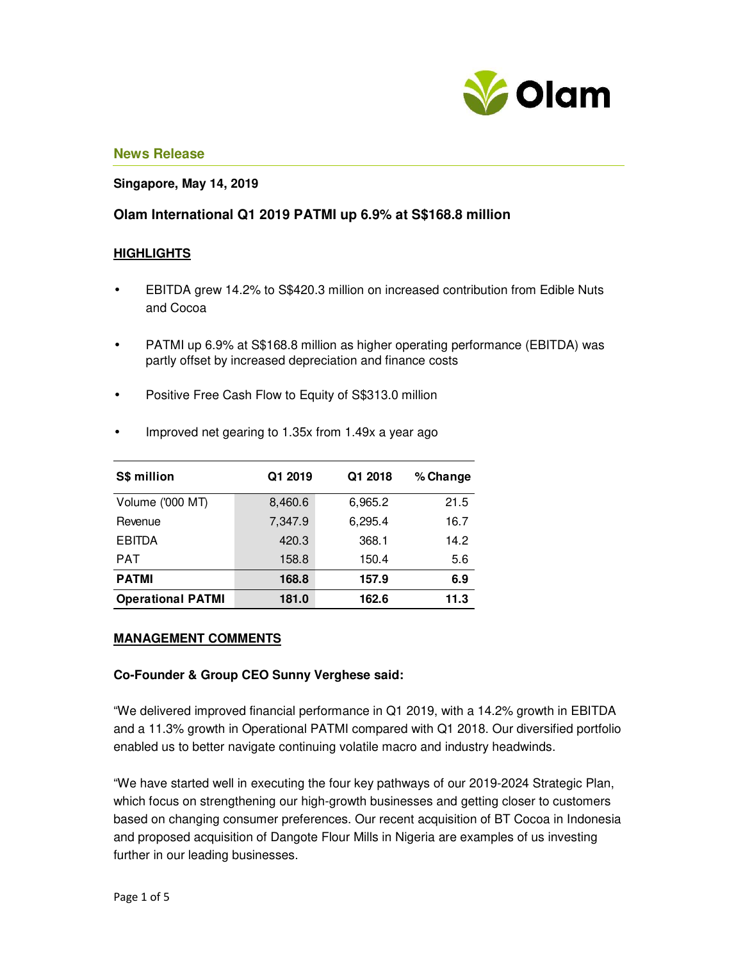

## **Singapore, May 14, 2019**

# **Olam International Q1 2019 PATMI up 6.9% at S\$168.8 million**

## **HIGHLIGHTS**

- EBITDA grew 14.2% to S\$420.3 million on increased contribution from Edible Nuts and Cocoa
- PATMI up 6.9% at S\$168.8 million as higher operating performance (EBITDA) was partly offset by increased depreciation and finance costs
- Positive Free Cash Flow to Equity of S\$313.0 million

| S\$ million              | Q1 2019 | Q1 2018 | % Change |
|--------------------------|---------|---------|----------|
| Volume ('000 MT)         | 8,460.6 | 6,965.2 | 21.5     |
| Revenue                  | 7,347.9 | 6,295.4 | 16.7     |
| <b>EBITDA</b>            | 420.3   | 368.1   | 14.2     |
| PAT                      | 158.8   | 150.4   | 5.6      |
| <b>PATMI</b>             | 168.8   | 157.9   | 6.9      |
| <b>Operational PATMI</b> | 181.0   | 162.6   | 11.3     |

• Improved net gearing to 1.35x from 1.49x a year ago

#### **MANAGEMENT COMMENTS**

### **Co-Founder & Group CEO Sunny Verghese said:**

"We delivered improved financial performance in Q1 2019, with a 14.2% growth in EBITDA and a 11.3% growth in Operational PATMI compared with Q1 2018. Our diversified portfolio enabled us to better navigate continuing volatile macro and industry headwinds.

"We have started well in executing the four key pathways of our 2019-2024 Strategic Plan, which focus on strengthening our high-growth businesses and getting closer to customers based on changing consumer preferences. Our recent acquisition of BT Cocoa in Indonesia and proposed acquisition of Dangote Flour Mills in Nigeria are examples of us investing further in our leading businesses.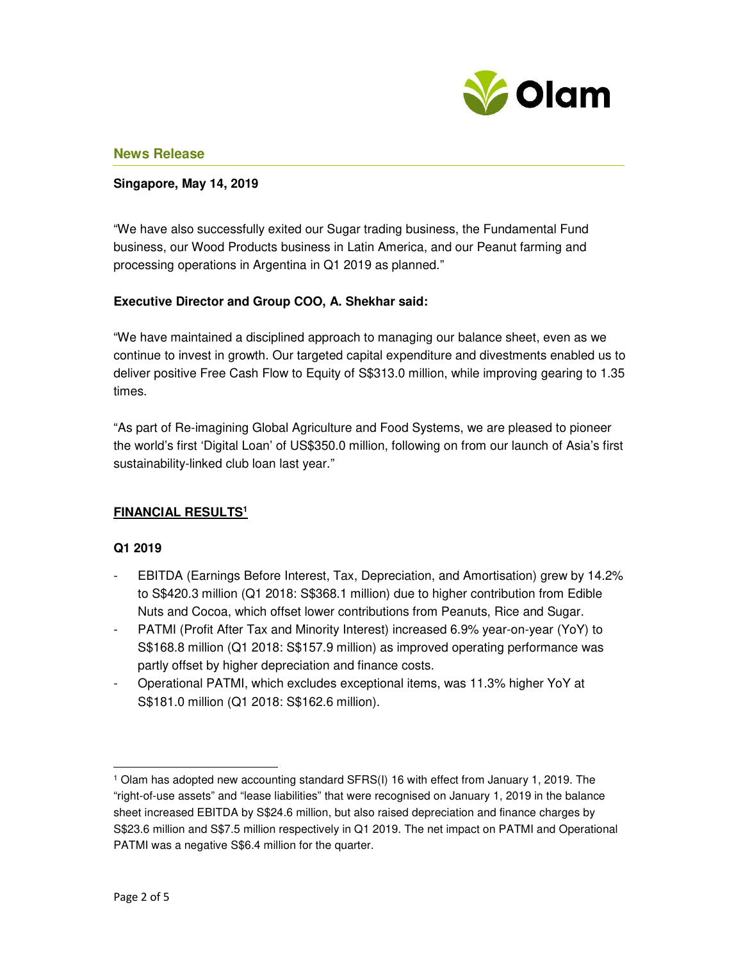

## **Singapore, May 14, 2019**

"We have also successfully exited our Sugar trading business, the Fundamental Fund business, our Wood Products business in Latin America, and our Peanut farming and processing operations in Argentina in Q1 2019 as planned."

## **Executive Director and Group COO, A. Shekhar said:**

"We have maintained a disciplined approach to managing our balance sheet, even as we continue to invest in growth. Our targeted capital expenditure and divestments enabled us to deliver positive Free Cash Flow to Equity of S\$313.0 million, while improving gearing to 1.35 times.

"As part of Re-imagining Global Agriculture and Food Systems, we are pleased to pioneer the world's first 'Digital Loan' of US\$350.0 million, following on from our launch of Asia's first sustainability-linked club loan last year."

## **FINANCIAL RESULTS<sup>1</sup>**

### **Q1 2019**

- EBITDA (Earnings Before Interest, Tax, Depreciation, and Amortisation) grew by 14.2% to S\$420.3 million (Q1 2018: S\$368.1 million) due to higher contribution from Edible Nuts and Cocoa, which offset lower contributions from Peanuts, Rice and Sugar.
- PATMI (Profit After Tax and Minority Interest) increased 6.9% year-on-year (YoY) to S\$168.8 million (Q1 2018: S\$157.9 million) as improved operating performance was partly offset by higher depreciation and finance costs.
- Operational PATMI, which excludes exceptional items, was 11.3% higher YoY at S\$181.0 million (Q1 2018: S\$162.6 million).

l,

<sup>1</sup> Olam has adopted new accounting standard SFRS(I) 16 with effect from January 1, 2019. The "right-of-use assets" and "lease liabilities" that were recognised on January 1, 2019 in the balance sheet increased EBITDA by S\$24.6 million, but also raised depreciation and finance charges by S\$23.6 million and S\$7.5 million respectively in Q1 2019. The net impact on PATMI and Operational PATMI was a negative S\$6.4 million for the quarter.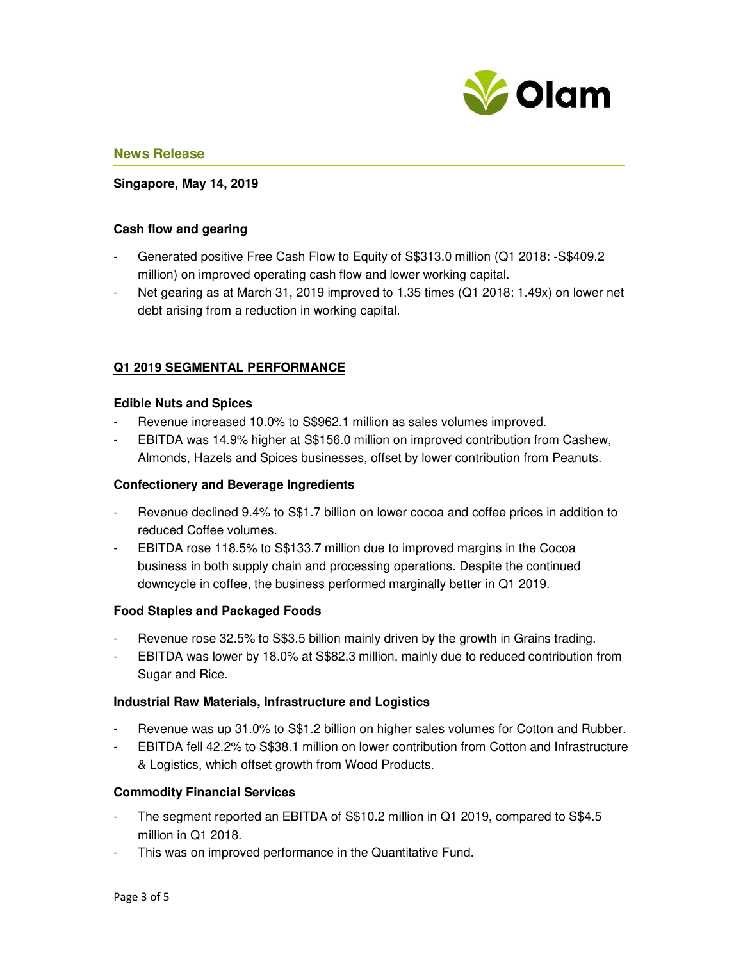

## **Singapore, May 14, 2019**

### **Cash flow and gearing**

- Generated positive Free Cash Flow to Equity of S\$313.0 million (Q1 2018: -S\$409.2 million) on improved operating cash flow and lower working capital.
- Net gearing as at March 31, 2019 improved to 1.35 times (Q1 2018: 1.49x) on lower net debt arising from a reduction in working capital.

## **Q1 2019 SEGMENTAL PERFORMANCE**

#### **Edible Nuts and Spices**

- Revenue increased 10.0% to S\$962.1 million as sales volumes improved.
- EBITDA was 14.9% higher at S\$156.0 million on improved contribution from Cashew, Almonds, Hazels and Spices businesses, offset by lower contribution from Peanuts.

#### **Confectionery and Beverage Ingredients**

- Revenue declined 9.4% to S\$1.7 billion on lower cocoa and coffee prices in addition to reduced Coffee volumes.
- EBITDA rose 118.5% to S\$133.7 million due to improved margins in the Cocoa business in both supply chain and processing operations. Despite the continued downcycle in coffee, the business performed marginally better in Q1 2019.

## **Food Staples and Packaged Foods**

- Revenue rose 32.5% to S\$3.5 billion mainly driven by the growth in Grains trading.
- EBITDA was lower by 18.0% at S\$82.3 million, mainly due to reduced contribution from Sugar and Rice.

#### **Industrial Raw Materials, Infrastructure and Logistics**

- Revenue was up 31.0% to S\$1.2 billion on higher sales volumes for Cotton and Rubber.
- EBITDA fell 42.2% to S\$38.1 million on lower contribution from Cotton and Infrastructure & Logistics, which offset growth from Wood Products.

## **Commodity Financial Services**

- The segment reported an EBITDA of S\$10.2 million in Q1 2019, compared to S\$4.5 million in Q1 2018.
- This was on improved performance in the Quantitative Fund.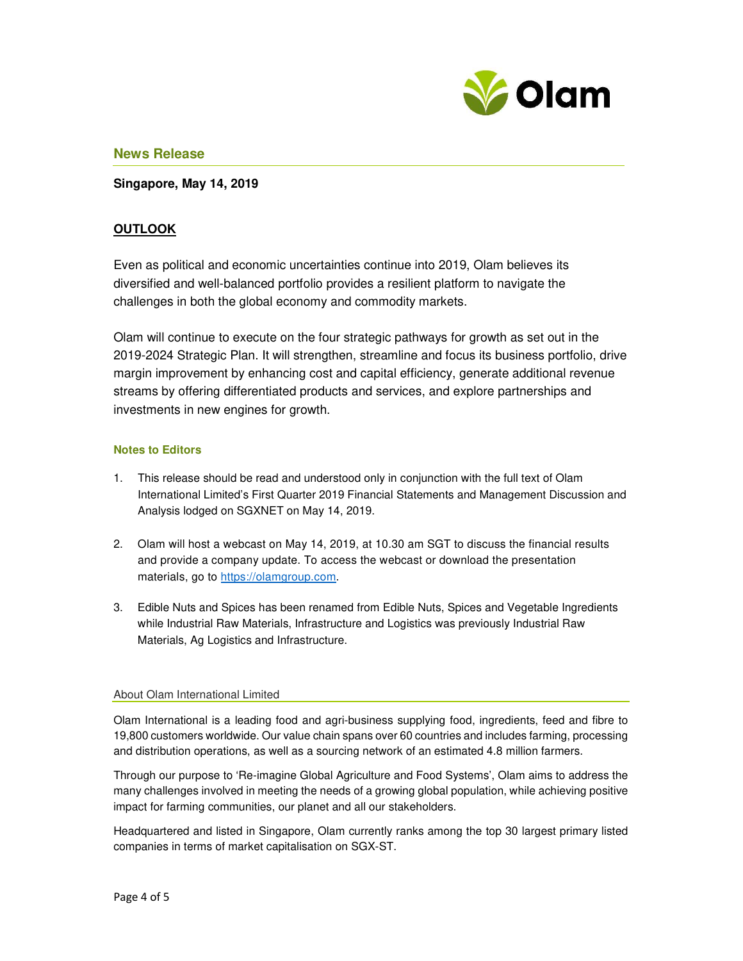

**Singapore, May 14, 2019**

# **OUTLOOK**

Even as political and economic uncertainties continue into 2019, Olam believes its diversified and well-balanced portfolio provides a resilient platform to navigate the challenges in both the global economy and commodity markets.

Olam will continue to execute on the four strategic pathways for growth as set out in the 2019-2024 Strategic Plan. It will strengthen, streamline and focus its business portfolio, drive margin improvement by enhancing cost and capital efficiency, generate additional revenue streams by offering differentiated products and services, and explore partnerships and investments in new engines for growth.

#### **Notes to Editors**

- 1. This release should be read and understood only in conjunction with the full text of Olam International Limited's First Quarter 2019 Financial Statements and Management Discussion and Analysis lodged on SGXNET on May 14, 2019.
- 2. Olam will host a webcast on May 14, 2019, at 10.30 am SGT to discuss the financial results and provide a company update. To access the webcast or download the presentation materials, go to https://olamgroup.com.
- 3. Edible Nuts and Spices has been renamed from Edible Nuts, Spices and Vegetable Ingredients while Industrial Raw Materials, Infrastructure and Logistics was previously Industrial Raw Materials, Ag Logistics and Infrastructure.

#### About Olam International Limited

Olam International is a leading food and agri-business supplying food, ingredients, feed and fibre to 19,800 customers worldwide. Our value chain spans over 60 countries and includes farming, processing and distribution operations, as well as a sourcing network of an estimated 4.8 million farmers.

Through our purpose to 'Re-imagine Global Agriculture and Food Systems', Olam aims to address the many challenges involved in meeting the needs of a growing global population, while achieving positive impact for farming communities, our planet and all our stakeholders.

Headquartered and listed in Singapore, Olam currently ranks among the top 30 largest primary listed companies in terms of market capitalisation on SGX-ST.